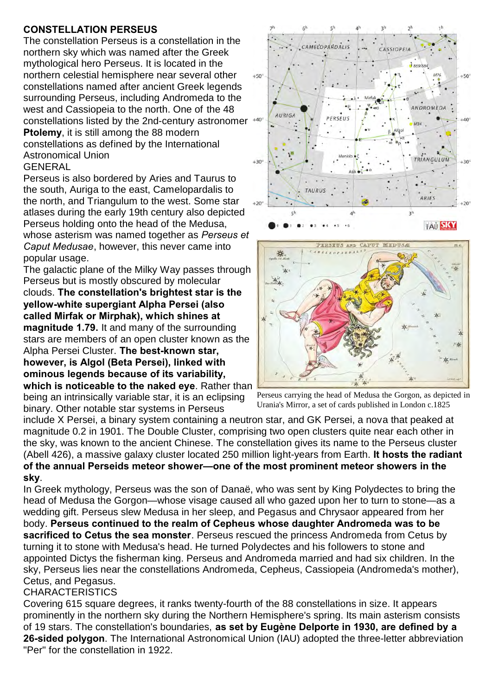### **CONSTELLATION PERSEUS**

The constellation Perseus is a constellation in the northern sky which was named after the Greek mythological hero Perseus. It is located in the northern celestial hemisphere near several other constellations named after ancient Greek legends surrounding Perseus, including Andromeda to the west and Cassiopeia to the north. One of the 48 constellations listed by the 2nd-century astronomer **Ptolemy**, it is still among the 88 modern constellations as defined by the International Astronomical Union **GENERAL** 

Perseus is also bordered by Aries and Taurus to the south, Auriga to the east, Camelopardalis to the north, and Triangulum to the west. Some star atlases during the early 19th century also depicted Perseus holding onto the head of the Medusa, whose asterism was named together as *Perseus et Caput Medusae*, however, this never came into popular usage.

The galactic plane of the Milky Way passes through Perseus but is mostly obscured by molecular clouds. **The constellation's brightest star is the yellow-white supergiant Alpha Persei (also called Mirfak or Mirphak), which shines at magnitude 1.79.** It and many of the surrounding stars are members of an open cluster known as the Alpha Persei Cluster. **The best-known star, however, is Algol (Beta Persei), linked with ominous legends because of its variability, which is noticeable to the naked eye**. Rather than

being an intrinsically variable star, it is an eclipsing binary. Other notable star systems in Perseus







include X Persei, a binary system containing a neutron star, and GK Persei, a nova that peaked at magnitude 0.2 in 1901. The Double Cluster, comprising two open clusters quite near each other in the sky, was known to the ancient Chinese. The constellation gives its name to the Perseus cluster (Abell 426), a massive galaxy cluster located 250 million light-years from Earth. **It hosts the radiant of the annual Perseids meteor shower—one of the most prominent meteor showers in the sky**.

In Greek mythology, Perseus was the son of Danaë, who was sent by King Polydectes to bring the head of Medusa the Gorgon—whose visage caused all who gazed upon her to turn to stone—as a wedding gift. Perseus slew Medusa in her sleep, and Pegasus and Chrysaor appeared from her body. **Perseus continued to the realm of Cepheus whose daughter Andromeda was to be sacrificed to Cetus the sea monster**. Perseus rescued the princess Andromeda from Cetus by turning it to stone with Medusa's head. He turned Polydectes and his followers to stone and appointed Dictys the fisherman king. Perseus and Andromeda married and had six children. In the sky, Perseus lies near the constellations Andromeda, Cepheus, Cassiopeia (Andromeda's mother), Cetus, and Pegasus.

### **CHARACTERISTICS**

Covering 615 square degrees, it ranks twenty-fourth of the 88 constellations in size. It appears prominently in the northern sky during the Northern Hemisphere's spring. Its main asterism consists of 19 stars. The constellation's boundaries, **as set by Eugène Delporte in 1930, are defined by a 26-sided polygon**. The International Astronomical Union (IAU) adopted the three-letter abbreviation "Per" for the constellation in 1922.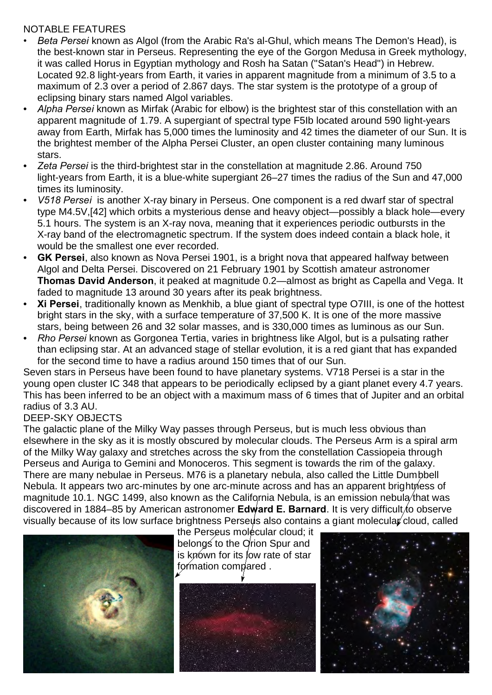## NOTABLE FEATURES

- *Beta Persei* known as Algol (from the Arabic Ra's al-Ghul, which means The Demon's Head), is the best-known star in Perseus. Representing the eye of the Gorgon Medusa in Greek mythology, it was called Horus in Egyptian mythology and Rosh ha Satan ("Satan's Head") in Hebrew. Located 92.8 light-years from Earth, it varies in apparent magnitude from a minimum of 3.5 to a maximum of 2.3 over a period of 2.867 days. The star system is the prototype of a group of eclipsing binary stars named Algol variables.
- *Alpha Persei* known as Mirfak (Arabic for elbow) is the brightest star of this constellation with an apparent magnitude of 1.79. A supergiant of spectral type F5Ib located around 590 light-years away from Earth, Mirfak has 5,000 times the luminosity and 42 times the diameter of our Sun. It is the brightest member of the Alpha Persei Cluster, an open cluster containing many luminous stars.
- *Zeta Persei* is the third-brightest star in the constellation at magnitude 2.86. Around 750 light-years from Earth, it is a blue-white supergiant 26–27 times the radius of the Sun and 47,000 times its luminosity.
- *V518 Persei* is another X-ray binary in Perseus. One component is a red dwarf star of spectral type M4.5V,[42] which orbits a mysterious dense and heavy object—possibly a black hole—every 5.1 hours. The system is an X-ray nova, meaning that it experiences periodic outbursts in the X-ray band of the electromagnetic spectrum. If the system does indeed contain a black hole, it would be the smallest one ever recorded.
- **GK Persei**, also known as Nova Persei 1901, is a bright nova that appeared halfway between Algol and Delta Persei. Discovered on 21 February 1901 by Scottish amateur astronomer **Thomas David Anderson**, it peaked at magnitude 0.2—almost as bright as Capella and Vega. It faded to magnitude 13 around 30 years after its peak brightness.
- **Xi Persei**, traditionally known as Menkhib, a blue giant of spectral type O7III, is one of the hottest bright stars in the sky, with a surface temperature of 37,500 K. It is one of the more massive stars, being between 26 and 32 solar masses, and is 330,000 times as luminous as our Sun.
- *Rho Persei* known as Gorgonea Tertia, varies in brightness like Algol, but is a pulsating rather than eclipsing star. At an advanced stage of stellar evolution, it is a red giant that has expanded for the second time to have a radius around 150 times that of our Sun.

Seven stars in Perseus have been found to have planetary systems. V718 Persei is a star in the young open cluster IC 348 that appears to be periodically eclipsed by a giant planet every 4.7 years. This has been inferred to be an object with a maximum mass of 6 times that of Jupiter and an orbital radius of 3.3 AU.

# DEEP-SKY OBJECTS

The galactic plane of the Milky Way passes through Perseus, but is much less obvious than elsewhere in the sky as it is mostly obscured by molecular clouds. The Perseus Arm is a spiral arm of the Milky Way galaxy and stretches across the sky from the constellation Cassiopeia through Perseus and Auriga to Gemini and Monoceros. This segment is towards the rim of the galaxy. There are many nebulae in Perseus. M76 is a planetary nebula, also called the Little Dumbbell Nebula. It appears two arc-minutes by one arc-minute across and has an apparent brightness of magnitude 10.1. NGC 1499, also known as the California Nebula, is an emission nebula that was discovered in 1884–85 by American astronomer **Edward E. Barnard**. It is very difficult to observe visually because of its low surface brightness Perseus also contains a giant molecular cloud, called



the Perseus molecular cloud; it belongs to the Orion Spur and is known for its low rate of star formation compared .